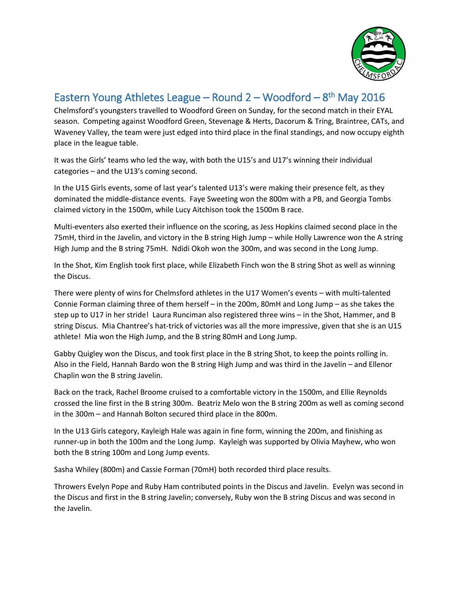

## Eastern Young Athletes League – Round  $2 - W$ oodford –  $8<sup>th</sup>$  May 2016

Chelmsford's youngsters travelled to Woodford Green on Sunday, for the second match in their EYAL season. Competing against Woodford Green, Stevenage & Herts, Dacorum & Tring, Braintree, CATs, and Waveney Valley, the team were just edged into third place in the final standings, and now occupy eighth place in the league table.

It was the Girls' teams who led the way, with both the U15's and U17's winning their individual categories – and the U13's coming second.

In the U15 Girls events, some of last year's talented U13's were making their presence felt, as they dominated the middle-distance events. Faye Sweeting won the 800m with a PB, and Georgia Tombs claimed victory in the 1500m, while Lucy Aitchison took the 1500m B race.

Multi-eventers also exerted their influence on the scoring, as Jess Hopkins claimed second place in the 75mH, third in the Javelin, and victory in the B string High Jump – while Holly Lawrence won the A string High Jump and the B string 75mH. Ndidi Okoh won the 300m, and was second in the Long Jump.

In the Shot, Kim English took first place, while Elizabeth Finch won the B string Shot as well as winning the Discus.

There were plenty of wins for Chelmsford athletes in the U17 Women's events – with multi-talented Connie Forman claiming three of them herself – in the 200m, 80mH and Long Jump – as she takes the step up to U17 in her stride! Laura Runciman also registered three wins – in the Shot, Hammer, and B string Discus. Mia Chantree's hat-trick of victories was all the more impressive, given that she is an U15 athlete! Mia won the High Jump, and the B string 80mH and Long Jump.

Gabby Quigley won the Discus, and took first place in the B string Shot, to keep the points rolling in. Also in the Field, Hannah Bardo won the B string High Jump and was third in the Javelin – and Ellenor Chaplin won the B string Javelin.

Back on the track, Rachel Broome cruised to a comfortable victory in the 1500m, and Ellie Reynolds crossed the line first in the B string 300m. Beatriz Melo won the B string 200m as well as coming second in the 300m – and Hannah Bolton secured third place in the 800m.

In the U13 Girls category, Kayleigh Hale was again in fine form, winning the 200m, and finishing as runner-up in both the 100m and the Long Jump. Kayleigh was supported by Olivia Mayhew, who won both the B string 100m and Long Jump events.

Sasha Whiley (800m) and Cassie Forman (70mH) both recorded third place results.

Throwers Evelyn Pope and Ruby Ham contributed points in the Discus and Javelin. Evelyn was second in the Discus and first in the B string Javelin; conversely, Ruby won the B string Discus and was second in the Javelin.